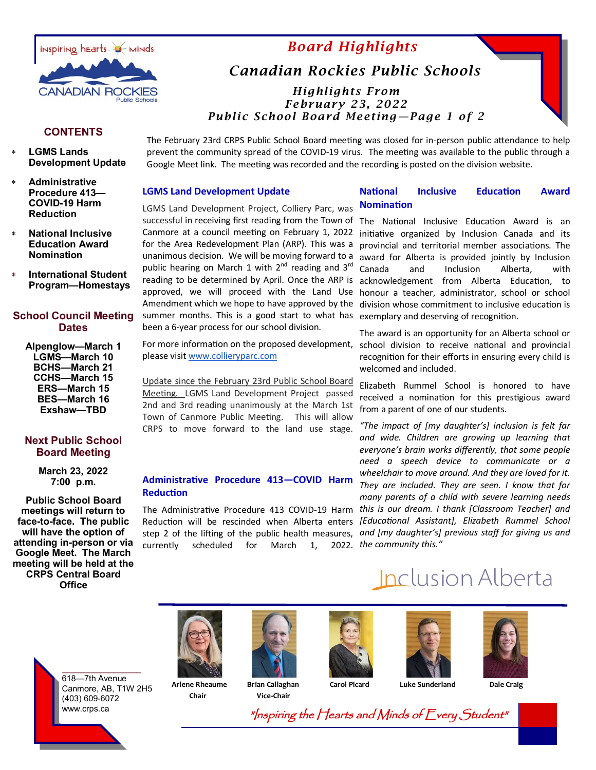

## *Board Highlights*

## *Canadian Rockies Public Schools*

*Highlights From February 23, 2022 Public School Board Meeting—Page 1 of 2*

## **CONTENTS**

- **LGMS Lands Development Update**
- **Administrative Procedure 413— COVID-19 Harm Reduction**
- **National Inclusive Education Award Nomination**
- **International Student Program—Homestays**

## **School Council Meeting Dates**

**Alpenglow—March 1 LGMS—March 10 BCHS—March 21 CCHS—March 15 ERS—March 15 BES—March 16 Exshaw—TBD** 

## **Next Public School Board Meeting**

**March 23, 2022 7:00 p.m.**

**Public School Board meetings will return to face-to-face. The public will have the option of attending in-person or via Google Meet. The March meeting will be held at the CRPS Central Board Office**

The February 23rd CRPS Public School Board meeting was closed for in-person public attendance to help prevent the community spread of the COVID-19 virus. The meeting was available to the public through a Google Meet link. The meeting was recorded and the recording is posted on the division website.

#### **LGMS Land Development Update**

#### **National Inclusive Education Award Nomination**

LGMS Land Development Project, Colliery Parc, was successful in receiving first reading from the Town of The National Inclusive Education Award is an Canmore at a council meeting on February 1, 2022 initiative organized by Inclusion Canada and its for the Area Redevelopment Plan (ARP). This was a unanimous decision. We will be moving forward to a public hearing on March 1 with  $2^{nd}$  reading and  $3^{rd}$ reading to be determined by April. Once the ARP is approved, we will proceed with the Land Use Amendment which we hope to have approved by the summer months. This is a good start to what has been a 6-year process for our school division.

please visit [www.collieryparc.com](http://www.collieryparc.com/)

Update since the February 23rd Public School Board Meeting. LGMS Land Development Project passed 2nd and 3rd reading unanimously at the March 1st Town of Canmore Public Meeting. This will allow CRPS to move forward to the land use stage.

## **Administrative Procedure 413—COVID Harm Reduction**

currently scheduled for March 1,

provincial and territorial member associations. The award for Alberta is provided jointly by Inclusion Canada and Inclusion Alberta, with acknowledgement from Alberta Education, to honour a teacher, administrator, school or school division whose commitment to inclusive education is exemplary and deserving of recognition.

For more information on the proposed development, school division to receive national and provincial The award is an opportunity for an Alberta school or recognition for their efforts in ensuring every child is welcomed and included.

> Elizabeth Rummel School is honored to have received a nomination for this prestigious award from a parent of one of our students.

The Administrative Procedure 413 COVID-19 Harm *this is our dream. I thank [Classroom Teacher] and*  Reduction will be rescinded when Alberta enters *[Educational Assistant], Elizabeth Rummel School*  step 2 of the lifting of the public health measures, *and [my daughter's] previous staff for giving us and "The impact of [my daughter's] inclusion is felt far and wide. Children are growing up learning that everyone's brain works differently, that some people need a speech device to communicate or a wheelchair to move around. And they are loved for it. They are included. They are seen. I know that for many parents of a child with severe learning needs the community this."*

# Inclusion Alberta

 $\_$   $\_$ 618—7th Avenue Canmore, AB, T1W 2H5 (403) 609-6072 www.crps.ca

 **Arlene Rheaume Brian Callaghan Carol Picard Luke Sunderland Dale Craig Chair Vice-Chair**









"Inspiring the Hearts and Minds of Every Student"